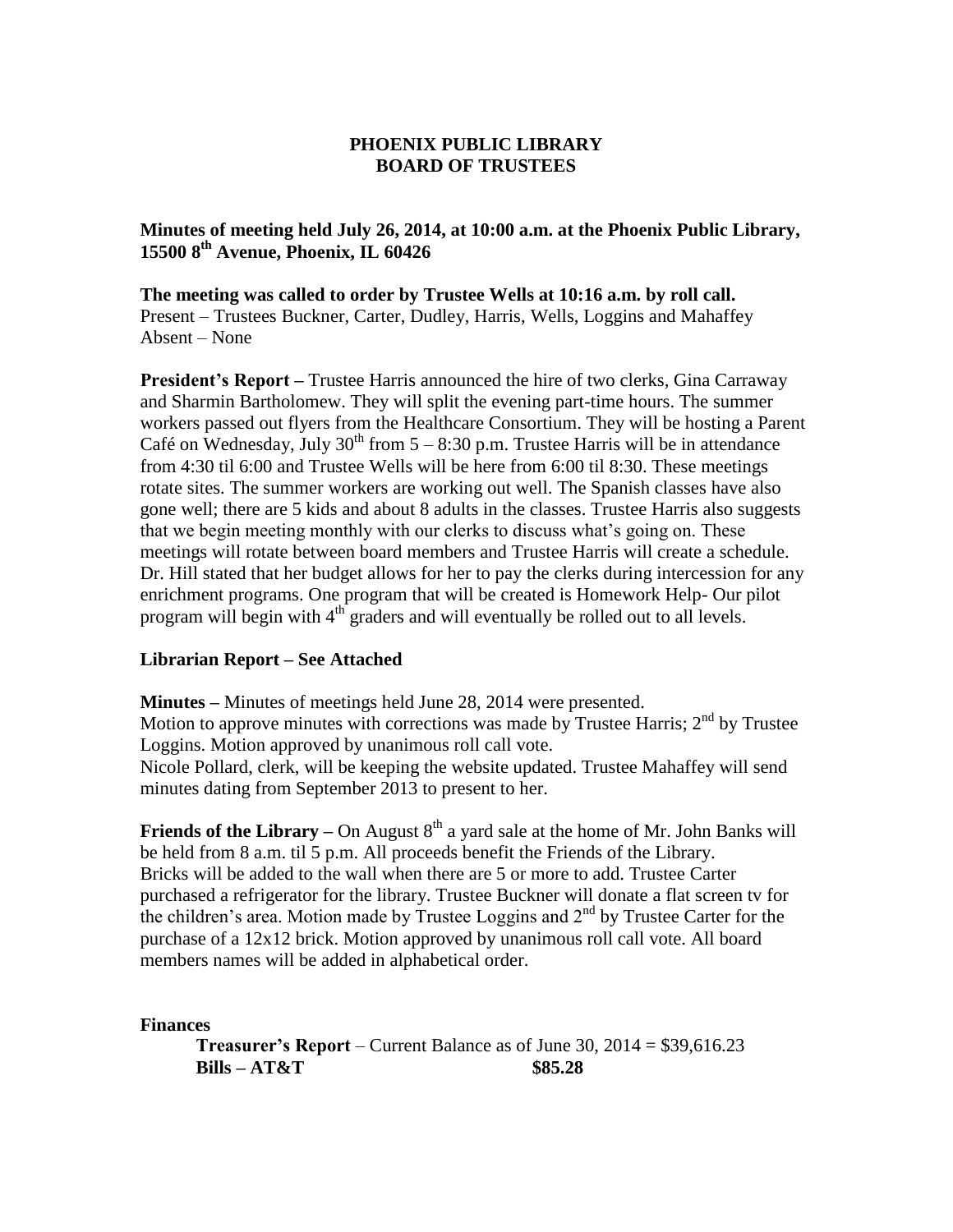**Minutes of meeting held July 26, 2014, at 10:00 a.m. at the Phoenix Public Library, 15500 8th Avenue, Phoenix, IL 60426**

**The meeting was called to order by Trustee Wells at 10:16 a.m. by roll call.** Present – Trustees Buckner, Carter, Dudley, Harris, Wells, Loggins and Mahaffey Absent – None

**President's Report –** Trustee Harris announced the hire of two clerks, Gina Carraway and Sharmin Bartholomew. They will split the evening part-time hours. The summer workers passed out flyers from the Healthcare Consortium. They will be hosting a Parent Café on Wednesday, July  $30<sup>th</sup>$  from  $5 - 8:30$  p.m. Trustee Harris will be in attendance from 4:30 til 6:00 and Trustee Wells will be here from 6:00 til 8:30. These meetings rotate sites. The summer workers are working out well. The Spanish classes have also gone well; there are 5 kids and about 8 adults in the classes. Trustee Harris also suggests that we begin meeting monthly with our clerks to discuss what's going on. These meetings will rotate between board members and Trustee Harris will create a schedule. Dr. Hill stated that her budget allows for her to pay the clerks during intercession for any enrichment programs. One program that will be created is Homework Help- Our pilot program will begin with  $4<sup>th</sup>$  graders and will eventually be rolled out to all levels.

#### **Librarian Report – See Attached**

**Minutes –** Minutes of meetings held June 28, 2014 were presented. Motion to approve minutes with corrections was made by Trustee Harris;  $2<sup>nd</sup>$  by Trustee Loggins. Motion approved by unanimous roll call vote. Nicole Pollard, clerk, will be keeping the website updated. Trustee Mahaffey will send minutes dating from September 2013 to present to her.

**Friends of the Library** – On August  $8<sup>th</sup>$  a yard sale at the home of Mr. John Banks will be held from 8 a.m. til 5 p.m. All proceeds benefit the Friends of the Library. Bricks will be added to the wall when there are 5 or more to add. Trustee Carter purchased a refrigerator for the library. Trustee Buckner will donate a flat screen tv for the children's area. Motion made by Trustee Loggins and  $2<sup>nd</sup>$  by Trustee Carter for the purchase of a 12x12 brick. Motion approved by unanimous roll call vote. All board members names will be added in alphabetical order.

**Finances**

**Treasurer's Report** – Current Balance as of June 30, 2014 = \$39,616.23 **Bills – AT&T \$85.28**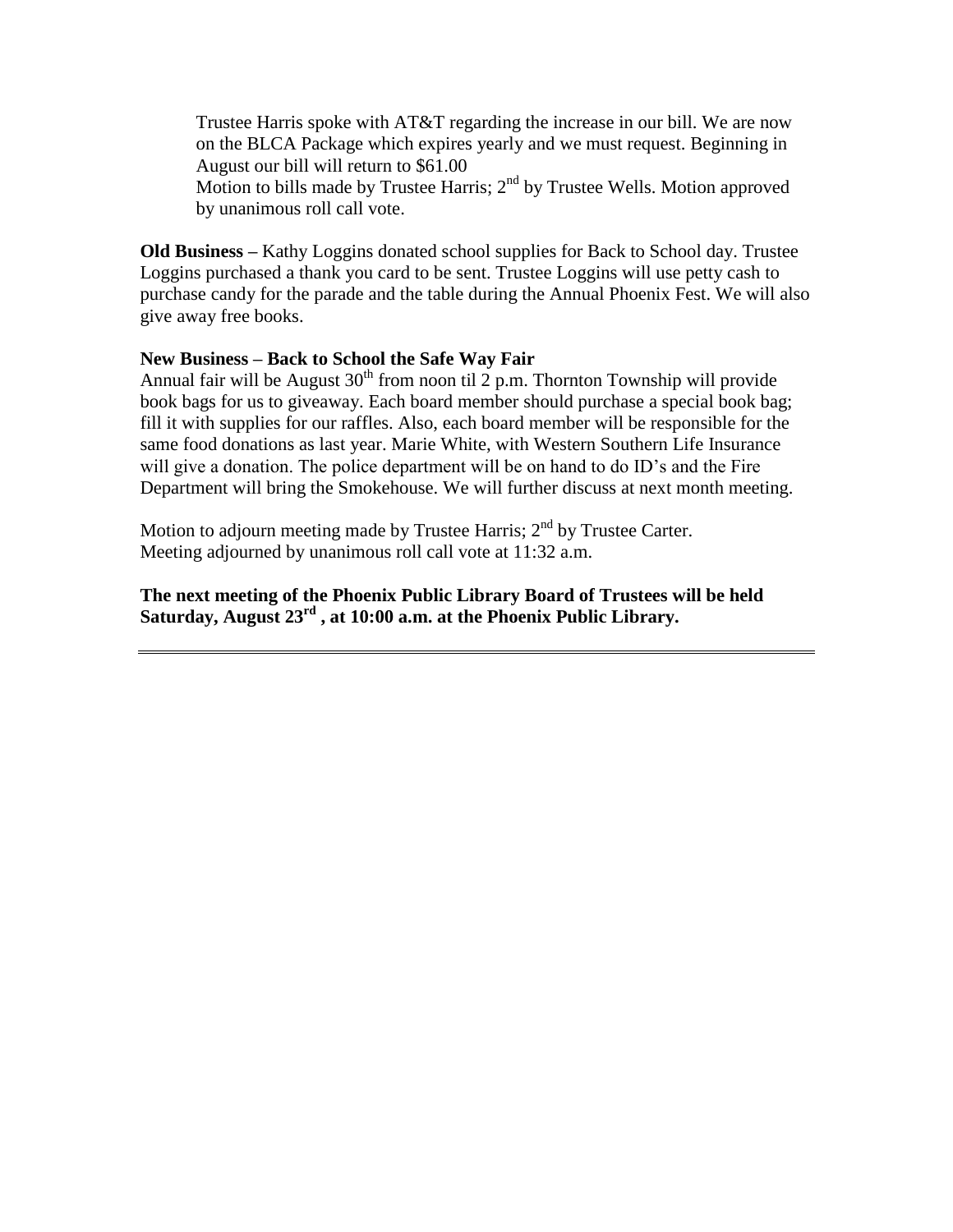Trustee Harris spoke with AT&T regarding the increase in our bill. We are now on the BLCA Package which expires yearly and we must request. Beginning in August our bill will return to \$61.00 Motion to bills made by Trustee Harris; 2<sup>nd</sup> by Trustee Wells. Motion approved

by unanimous roll call vote.

**Old Business –** Kathy Loggins donated school supplies for Back to School day. Trustee Loggins purchased a thank you card to be sent. Trustee Loggins will use petty cash to purchase candy for the parade and the table during the Annual Phoenix Fest. We will also give away free books.

# **New Business – Back to School the Safe Way Fair**

Annual fair will be August  $30<sup>th</sup>$  from noon til 2 p.m. Thornton Township will provide book bags for us to giveaway. Each board member should purchase a special book bag; fill it with supplies for our raffles. Also, each board member will be responsible for the same food donations as last year. Marie White, with Western Southern Life Insurance will give a donation. The police department will be on hand to do ID's and the Fire Department will bring the Smokehouse. We will further discuss at next month meeting.

Motion to adjourn meeting made by Trustee Harris;  $2<sup>nd</sup>$  by Trustee Carter. Meeting adjourned by unanimous roll call vote at 11:32 a.m.

**The next meeting of the Phoenix Public Library Board of Trustees will be held Saturday, August 23rd , at 10:00 a.m. at the Phoenix Public Library.**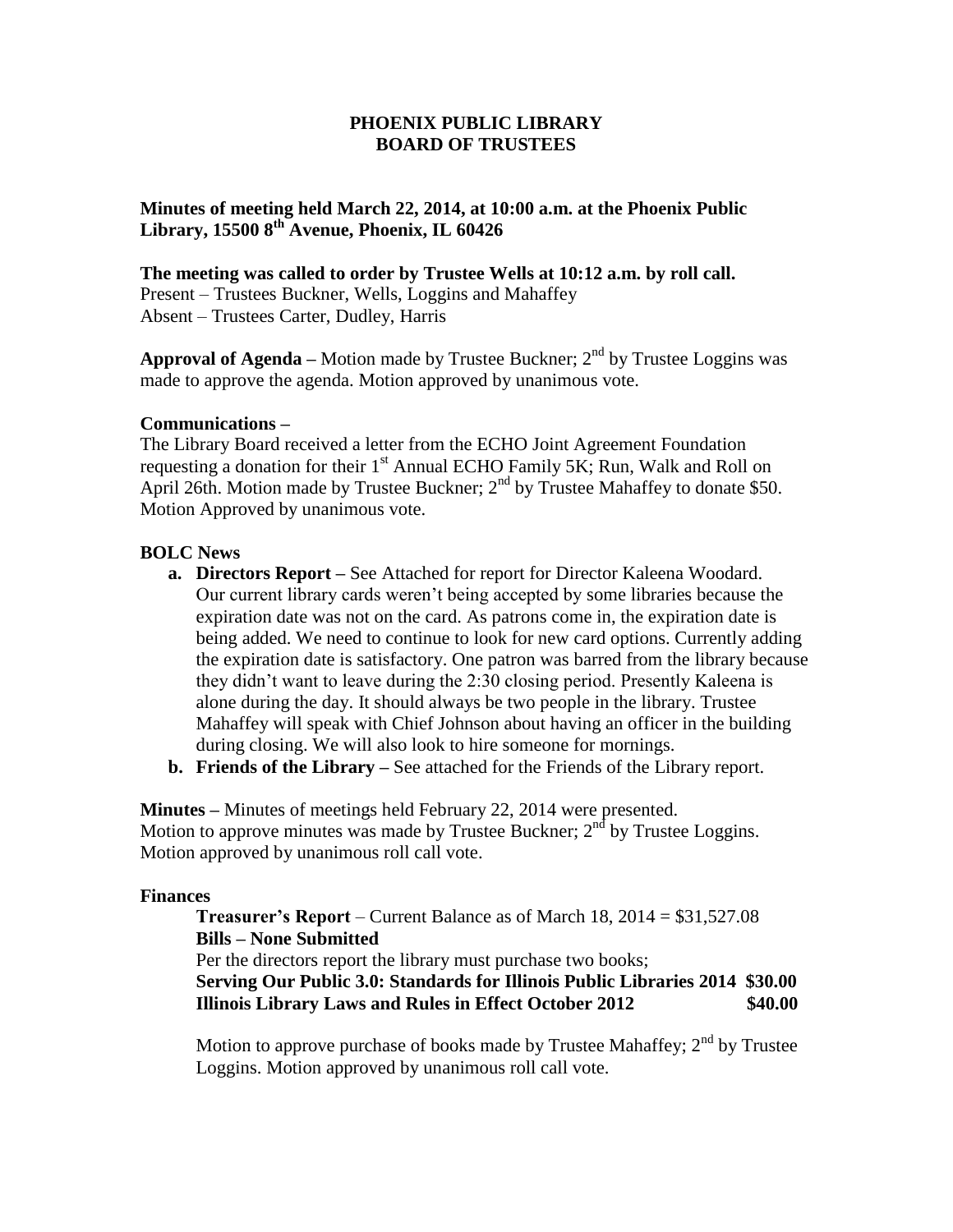**Minutes of meeting held March 22, 2014, at 10:00 a.m. at the Phoenix Public Library, 15500 8th Avenue, Phoenix, IL 60426**

**The meeting was called to order by Trustee Wells at 10:12 a.m. by roll call.** Present – Trustees Buckner, Wells, Loggins and Mahaffey Absent – Trustees Carter, Dudley, Harris

**Approval of Agenda** – Motion made by Trustee Buckner;  $2<sup>nd</sup>$  by Trustee Loggins was made to approve the agenda. Motion approved by unanimous vote.

#### **Communications –**

The Library Board received a letter from the ECHO Joint Agreement Foundation requesting a donation for their  $1<sup>st</sup>$  Annual ECHO Family 5K; Run, Walk and Roll on April 26th. Motion made by Trustee Buckner;  $2<sup>nd</sup>$  by Trustee Mahaffey to donate \$50. Motion Approved by unanimous vote.

#### **BOLC News**

- **a. Directors Report –** See Attached for report for Director Kaleena Woodard. Our current library cards weren't being accepted by some libraries because the expiration date was not on the card. As patrons come in, the expiration date is being added. We need to continue to look for new card options. Currently adding the expiration date is satisfactory. One patron was barred from the library because they didn't want to leave during the 2:30 closing period. Presently Kaleena is alone during the day. It should always be two people in the library. Trustee Mahaffey will speak with Chief Johnson about having an officer in the building during closing. We will also look to hire someone for mornings.
- **b. Friends of the Library –** See attached for the Friends of the Library report.

**Minutes –** Minutes of meetings held February 22, 2014 were presented. Motion to approve minutes was made by Trustee Buckner;  $2<sup>nd</sup>$  by Trustee Loggins. Motion approved by unanimous roll call vote.

#### **Finances**

**Treasurer's Report** – Current Balance as of March 18, 2014 = \$31,527.08 **Bills – None Submitted** Per the directors report the library must purchase two books; **Serving Our Public 3.0: Standards for Illinois Public Libraries 2014 \$30.00 Illinois Library Laws and Rules in Effect October 2012 \$40.00**

Motion to approve purchase of books made by Trustee Mahaffey;  $2<sup>nd</sup>$  by Trustee Loggins. Motion approved by unanimous roll call vote.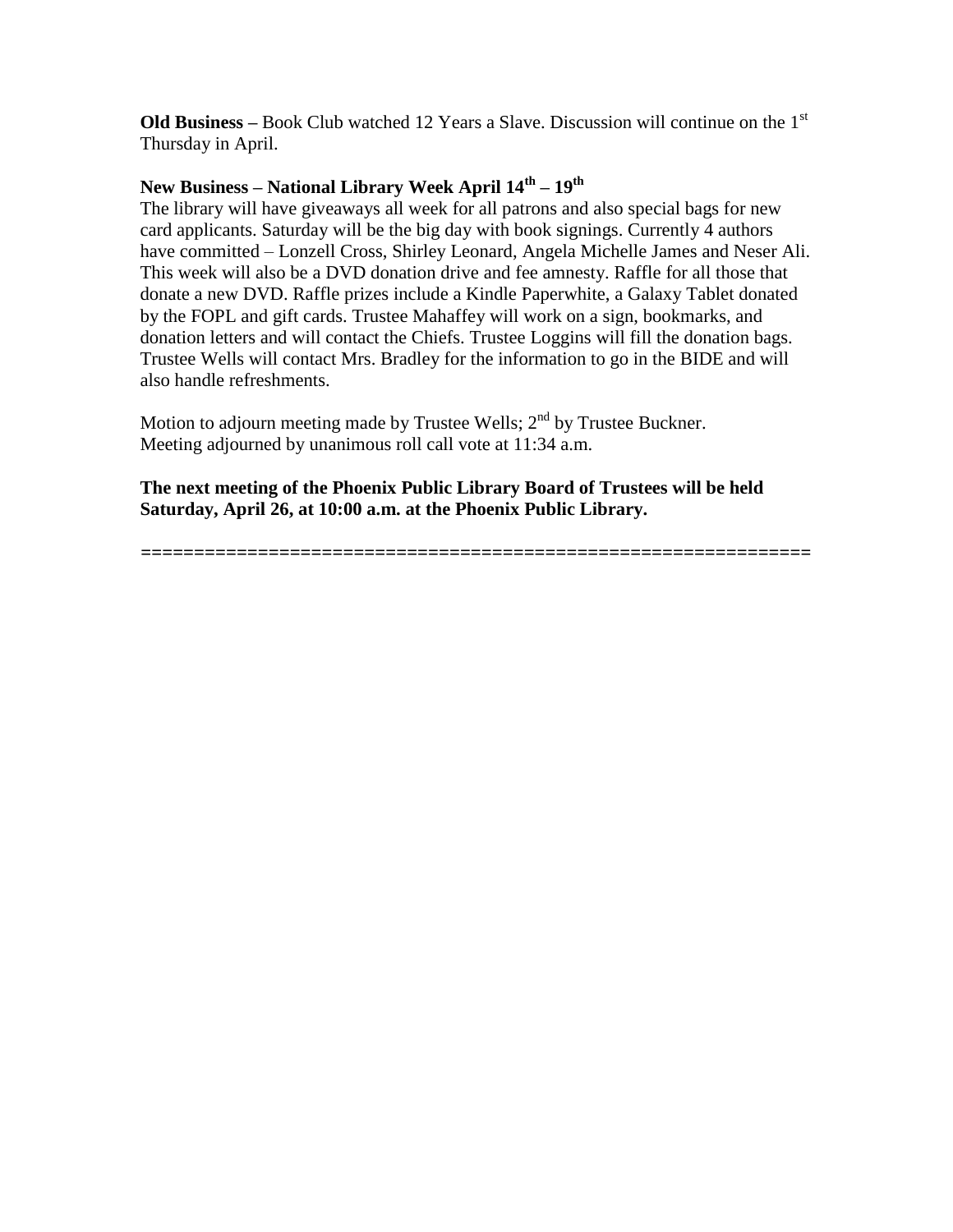**Old Business** – Book Club watched 12 Years a Slave. Discussion will continue on the 1<sup>st</sup> Thursday in April.

# **New Business – National Library Week April 14th – 19th**

The library will have giveaways all week for all patrons and also special bags for new card applicants. Saturday will be the big day with book signings. Currently 4 authors have committed – Lonzell Cross, Shirley Leonard, Angela Michelle James and Neser Ali. This week will also be a DVD donation drive and fee amnesty. Raffle for all those that donate a new DVD. Raffle prizes include a Kindle Paperwhite, a Galaxy Tablet donated by the FOPL and gift cards. Trustee Mahaffey will work on a sign, bookmarks, and donation letters and will contact the Chiefs. Trustee Loggins will fill the donation bags. Trustee Wells will contact Mrs. Bradley for the information to go in the BIDE and will also handle refreshments.

Motion to adjourn meeting made by Trustee Wells;  $2<sup>nd</sup>$  by Trustee Buckner. Meeting adjourned by unanimous roll call vote at 11:34 a.m.

**The next meeting of the Phoenix Public Library Board of Trustees will be held Saturday, April 26, at 10:00 a.m. at the Phoenix Public Library.**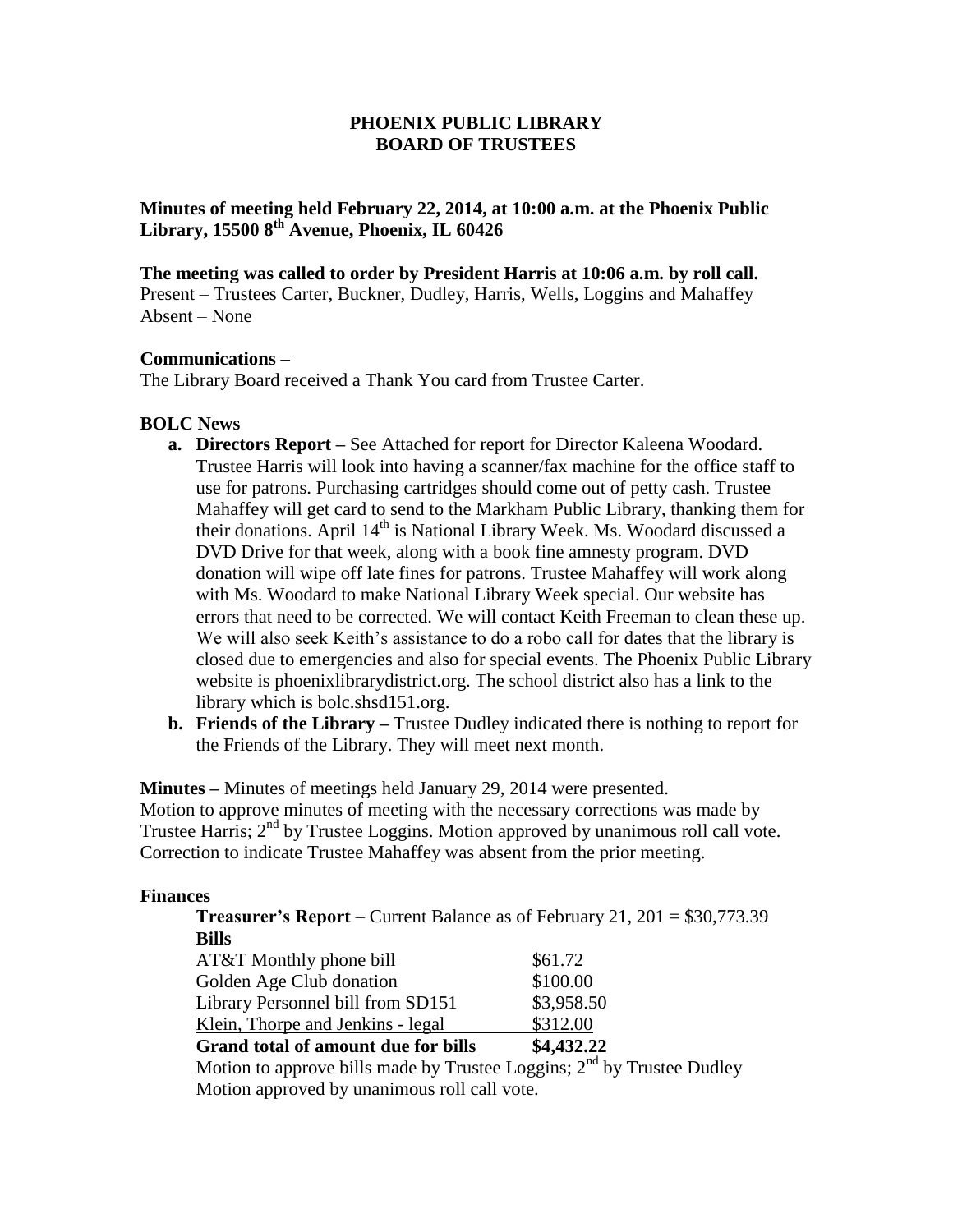**Minutes of meeting held February 22, 2014, at 10:00 a.m. at the Phoenix Public Library, 15500 8th Avenue, Phoenix, IL 60426**

**The meeting was called to order by President Harris at 10:06 a.m. by roll call.** Present – Trustees Carter, Buckner, Dudley, Harris, Wells, Loggins and Mahaffey

# **Communications –**

Absent – None

The Library Board received a Thank You card from Trustee Carter.

#### **BOLC News**

- **a. Directors Report –** See Attached for report for Director Kaleena Woodard. Trustee Harris will look into having a scanner/fax machine for the office staff to use for patrons. Purchasing cartridges should come out of petty cash. Trustee Mahaffey will get card to send to the Markham Public Library, thanking them for their donations. April  $14<sup>th</sup>$  is National Library Week. Ms. Woodard discussed a DVD Drive for that week, along with a book fine amnesty program. DVD donation will wipe off late fines for patrons. Trustee Mahaffey will work along with Ms. Woodard to make National Library Week special. Our website has errors that need to be corrected. We will contact Keith Freeman to clean these up. We will also seek Keith's assistance to do a robo call for dates that the library is closed due to emergencies and also for special events. The Phoenix Public Library website is phoenixlibrarydistrict.org. The school district also has a link to the library which is bolc.shsd151.org.
- **b. Friends of the Library –** Trustee Dudley indicated there is nothing to report for the Friends of the Library. They will meet next month.

**Minutes –** Minutes of meetings held January 29, 2014 were presented.

Motion to approve minutes of meeting with the necessary corrections was made by Trustee Harris; 2<sup>nd</sup> by Trustee Loggins. Motion approved by unanimous roll call vote. Correction to indicate Trustee Mahaffey was absent from the prior meeting.

#### **Finances**

**Treasurer's Report** – Current Balance as of February 21, 201 = \$30,773.39 **Bills**

| <b>Grand total of amount due for bills</b> | \$4,432.22<br>and the contract of the contract of the contract of the contract of the contract of the contract of the contract of the contract of the contract of the contract of the contract of the contract of the contract of the contra |  |
|--------------------------------------------|----------------------------------------------------------------------------------------------------------------------------------------------------------------------------------------------------------------------------------------------|--|
| Klein, Thorpe and Jenkins - legal          | \$312.00                                                                                                                                                                                                                                     |  |
| Library Personnel bill from SD151          | \$3,958.50                                                                                                                                                                                                                                   |  |
| Golden Age Club donation                   | \$100.00                                                                                                                                                                                                                                     |  |
| AT&T Monthly phone bill                    | \$61.72                                                                                                                                                                                                                                      |  |

Motion to approve bills made by Trustee Loggins;  $2<sup>nd</sup>$  by Trustee Dudley Motion approved by unanimous roll call vote.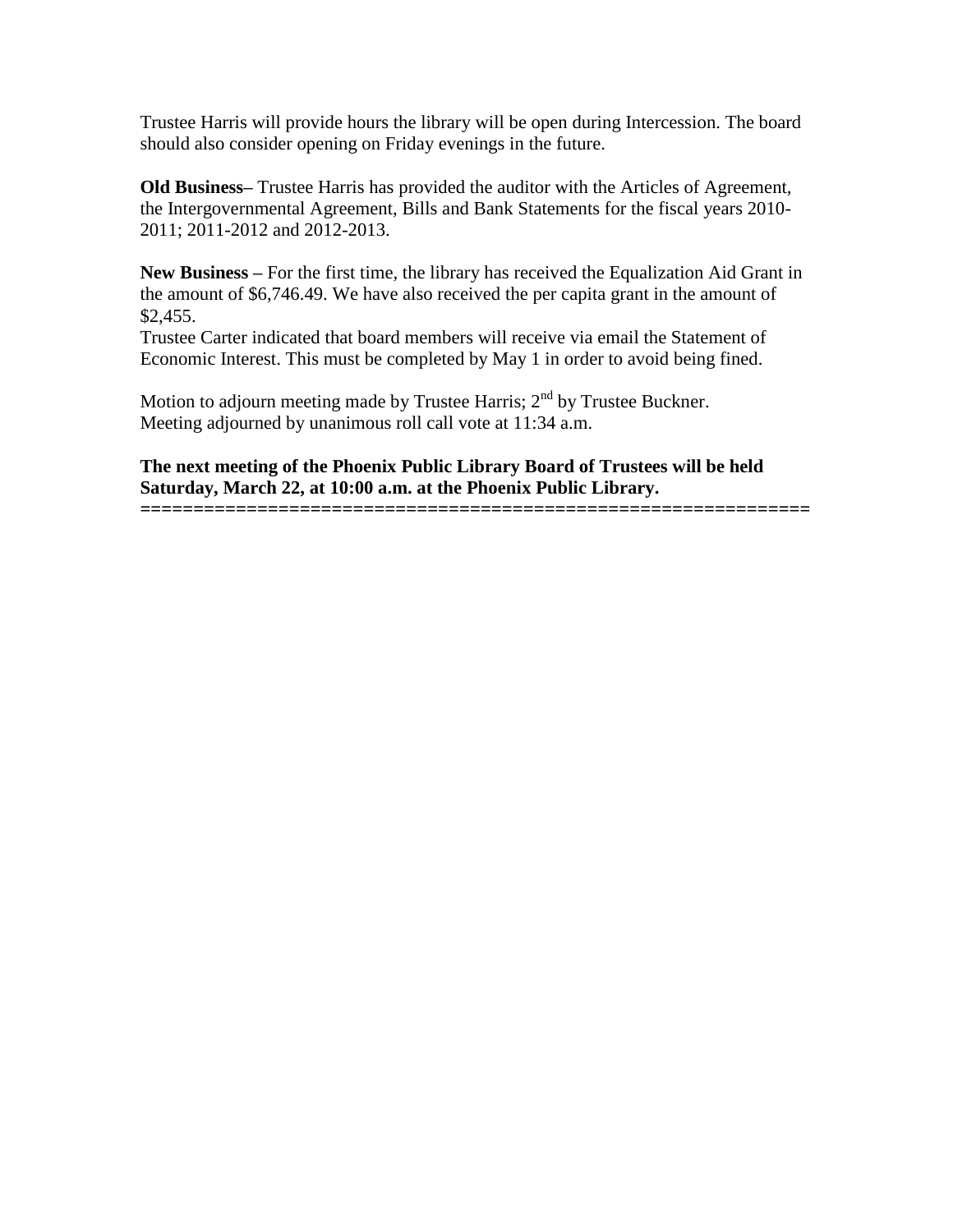Trustee Harris will provide hours the library will be open during Intercession. The board should also consider opening on Friday evenings in the future.

**Old Business–** Trustee Harris has provided the auditor with the Articles of Agreement, the Intergovernmental Agreement, Bills and Bank Statements for the fiscal years 2010- 2011; 2011-2012 and 2012-2013.

**New Business –** For the first time, the library has received the Equalization Aid Grant in the amount of \$6,746.49. We have also received the per capita grant in the amount of \$2,455.

Trustee Carter indicated that board members will receive via email the Statement of Economic Interest. This must be completed by May 1 in order to avoid being fined.

Motion to adjourn meeting made by Trustee Harris;  $2<sup>nd</sup>$  by Trustee Buckner. Meeting adjourned by unanimous roll call vote at 11:34 a.m.

**The next meeting of the Phoenix Public Library Board of Trustees will be held Saturday, March 22, at 10:00 a.m. at the Phoenix Public Library.**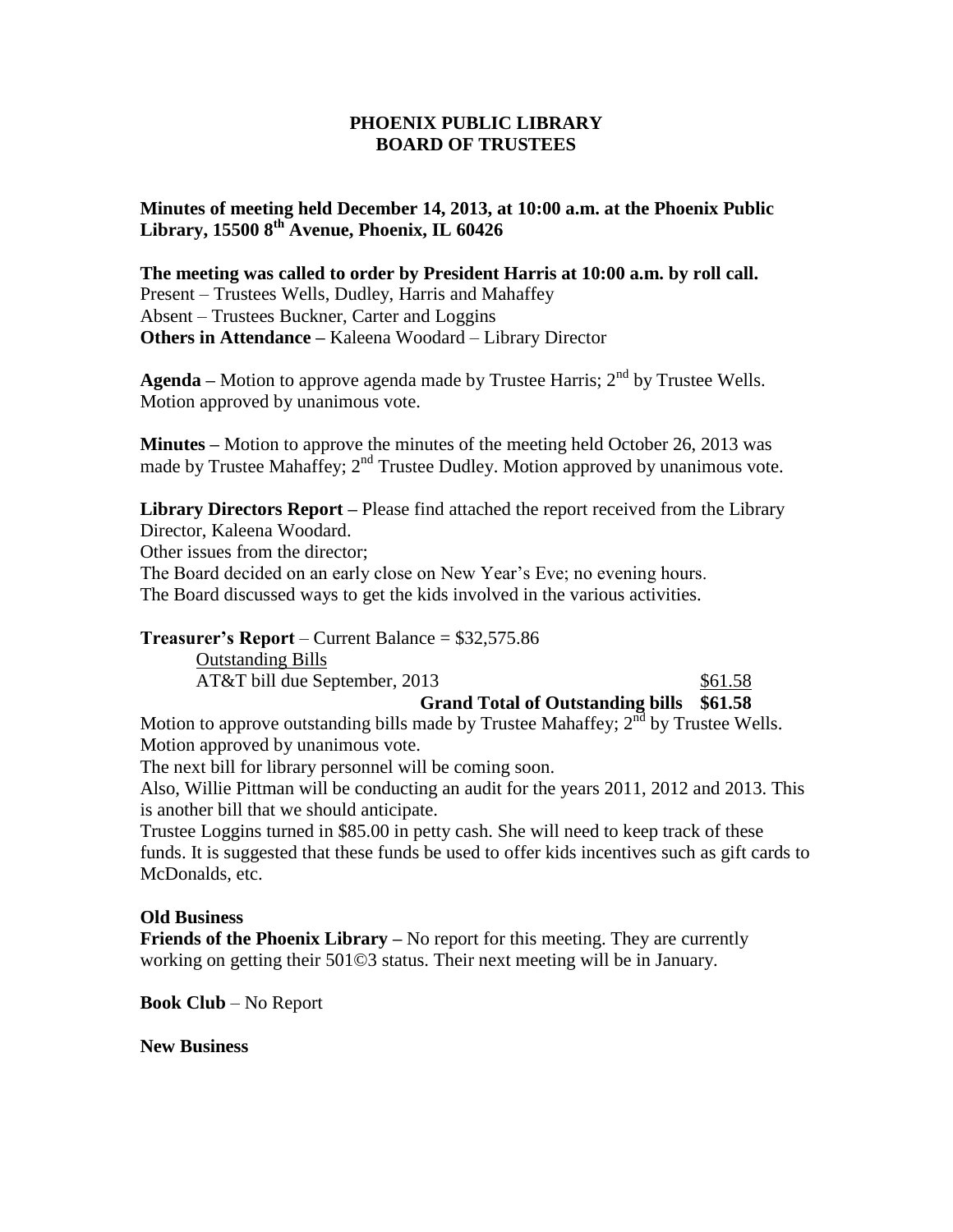**Minutes of meeting held December 14, 2013, at 10:00 a.m. at the Phoenix Public Library, 15500 8th Avenue, Phoenix, IL 60426**

**The meeting was called to order by President Harris at 10:00 a.m. by roll call.** Present – Trustees Wells, Dudley, Harris and Mahaffey Absent – Trustees Buckner, Carter and Loggins **Others in Attendance –** Kaleena Woodard – Library Director

**Agenda** – Motion to approve agenda made by Trustee Harris;  $2<sup>nd</sup>$  by Trustee Wells. Motion approved by unanimous vote.

**Minutes –** Motion to approve the minutes of the meeting held October 26, 2013 was made by Trustee Mahaffey;  $2<sup>nd</sup>$  Trustee Dudley. Motion approved by unanimous vote.

**Library Directors Report –** Please find attached the report received from the Library Director, Kaleena Woodard.

Other issues from the director;

The Board decided on an early close on New Year's Eve; no evening hours. The Board discussed ways to get the kids involved in the various activities.

#### **Treasurer's Report** – Current Balance = \$32,575.86

Outstanding Bills AT&T bill due September, 2013 \$61.58

# **Grand Total of Outstanding bills \$61.58**

Motion to approve outstanding bills made by Trustee Mahaffey;  $2<sup>nd</sup>$  by Trustee Wells. Motion approved by unanimous vote.

The next bill for library personnel will be coming soon.

Also, Willie Pittman will be conducting an audit for the years 2011, 2012 and 2013. This is another bill that we should anticipate.

Trustee Loggins turned in \$85.00 in petty cash. She will need to keep track of these funds. It is suggested that these funds be used to offer kids incentives such as gift cards to McDonalds, etc.

#### **Old Business**

**Friends of the Phoenix Library** – No report for this meeting. They are currently working on getting their 501©3 status. Their next meeting will be in January.

**Book Club** – No Report

**New Business**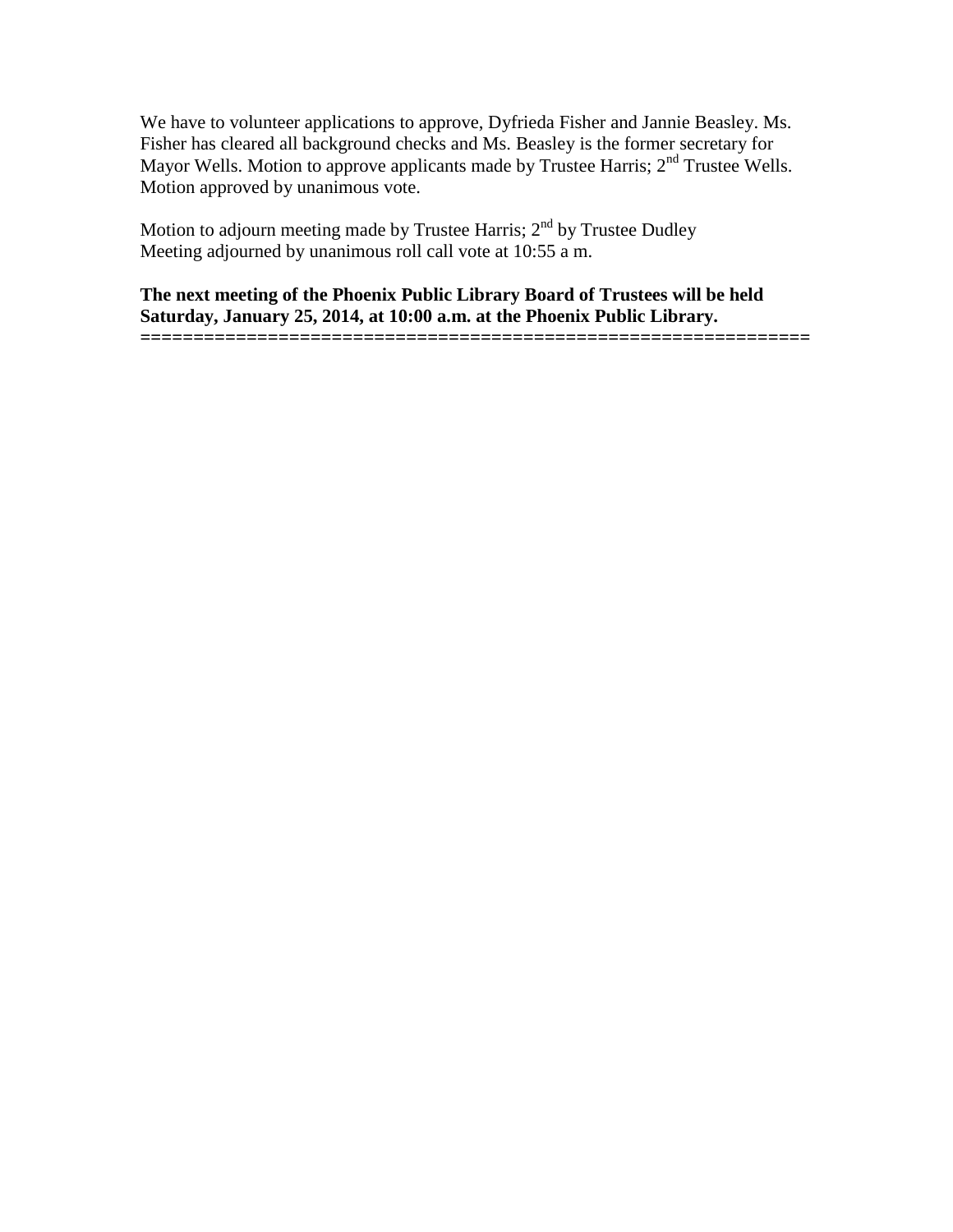We have to volunteer applications to approve, Dyfrieda Fisher and Jannie Beasley. Ms. Fisher has cleared all background checks and Ms. Beasley is the former secretary for Mayor Wells. Motion to approve applicants made by Trustee Harris;  $2<sup>nd</sup>$  Trustee Wells. Motion approved by unanimous vote.

Motion to adjourn meeting made by Trustee Harris;  $2<sup>nd</sup>$  by Trustee Dudley Meeting adjourned by unanimous roll call vote at 10:55 a m.

**The next meeting of the Phoenix Public Library Board of Trustees will be held Saturday, January 25, 2014, at 10:00 a.m. at the Phoenix Public Library.**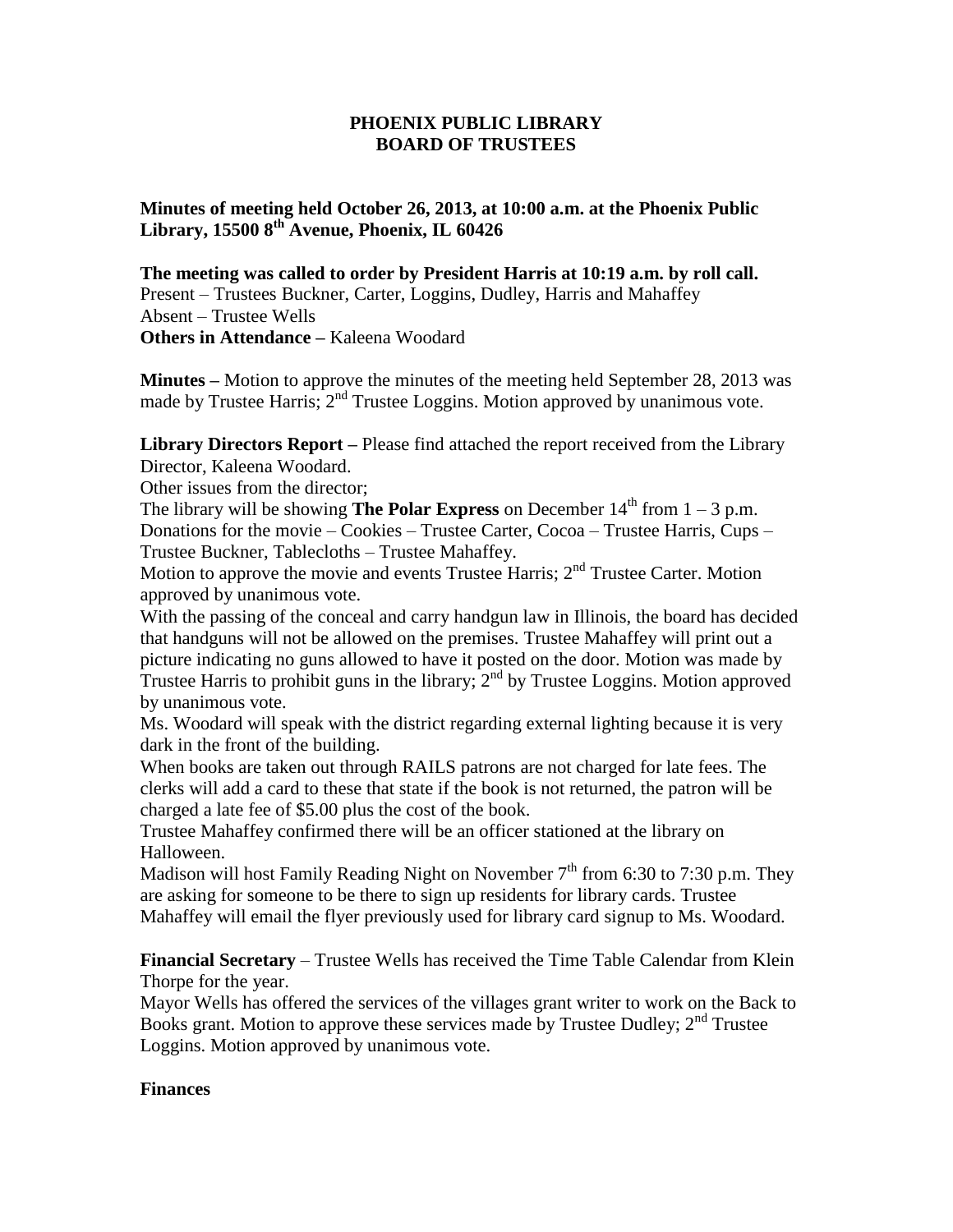**Minutes of meeting held October 26, 2013, at 10:00 a.m. at the Phoenix Public Library, 15500 8th Avenue, Phoenix, IL 60426**

**The meeting was called to order by President Harris at 10:19 a.m. by roll call.** Present – Trustees Buckner, Carter, Loggins, Dudley, Harris and Mahaffey Absent – Trustee Wells **Others in Attendance –** Kaleena Woodard

**Minutes –** Motion to approve the minutes of the meeting held September 28, 2013 was made by Trustee Harris; 2<sup>nd</sup> Trustee Loggins. Motion approved by unanimous vote.

**Library Directors Report –** Please find attached the report received from the Library Director, Kaleena Woodard.

Other issues from the director;

The library will be showing **The Polar Express** on December  $14<sup>th</sup>$  from  $1 - 3$  p.m. Donations for the movie – Cookies – Trustee Carter, Cocoa – Trustee Harris, Cups – Trustee Buckner, Tablecloths – Trustee Mahaffey.

Motion to approve the movie and events Trustee Harris;  $2<sup>nd</sup>$  Trustee Carter. Motion approved by unanimous vote.

With the passing of the conceal and carry handgun law in Illinois, the board has decided that handguns will not be allowed on the premises. Trustee Mahaffey will print out a picture indicating no guns allowed to have it posted on the door. Motion was made by Trustee Harris to prohibit guns in the library;  $2<sup>nd</sup>$  by Trustee Loggins. Motion approved by unanimous vote.

Ms. Woodard will speak with the district regarding external lighting because it is very dark in the front of the building.

When books are taken out through RAILS patrons are not charged for late fees. The clerks will add a card to these that state if the book is not returned, the patron will be charged a late fee of \$5.00 plus the cost of the book.

Trustee Mahaffey confirmed there will be an officer stationed at the library on Halloween.

Madison will host Family Reading Night on November  $7<sup>th</sup>$  from 6:30 to 7:30 p.m. They are asking for someone to be there to sign up residents for library cards. Trustee Mahaffey will email the flyer previously used for library card signup to Ms. Woodard.

**Financial Secretary** – Trustee Wells has received the Time Table Calendar from Klein Thorpe for the year.

Mayor Wells has offered the services of the villages grant writer to work on the Back to Books grant. Motion to approve these services made by Trustee Dudley;  $2<sup>nd</sup>$  Trustee Loggins. Motion approved by unanimous vote.

#### **Finances**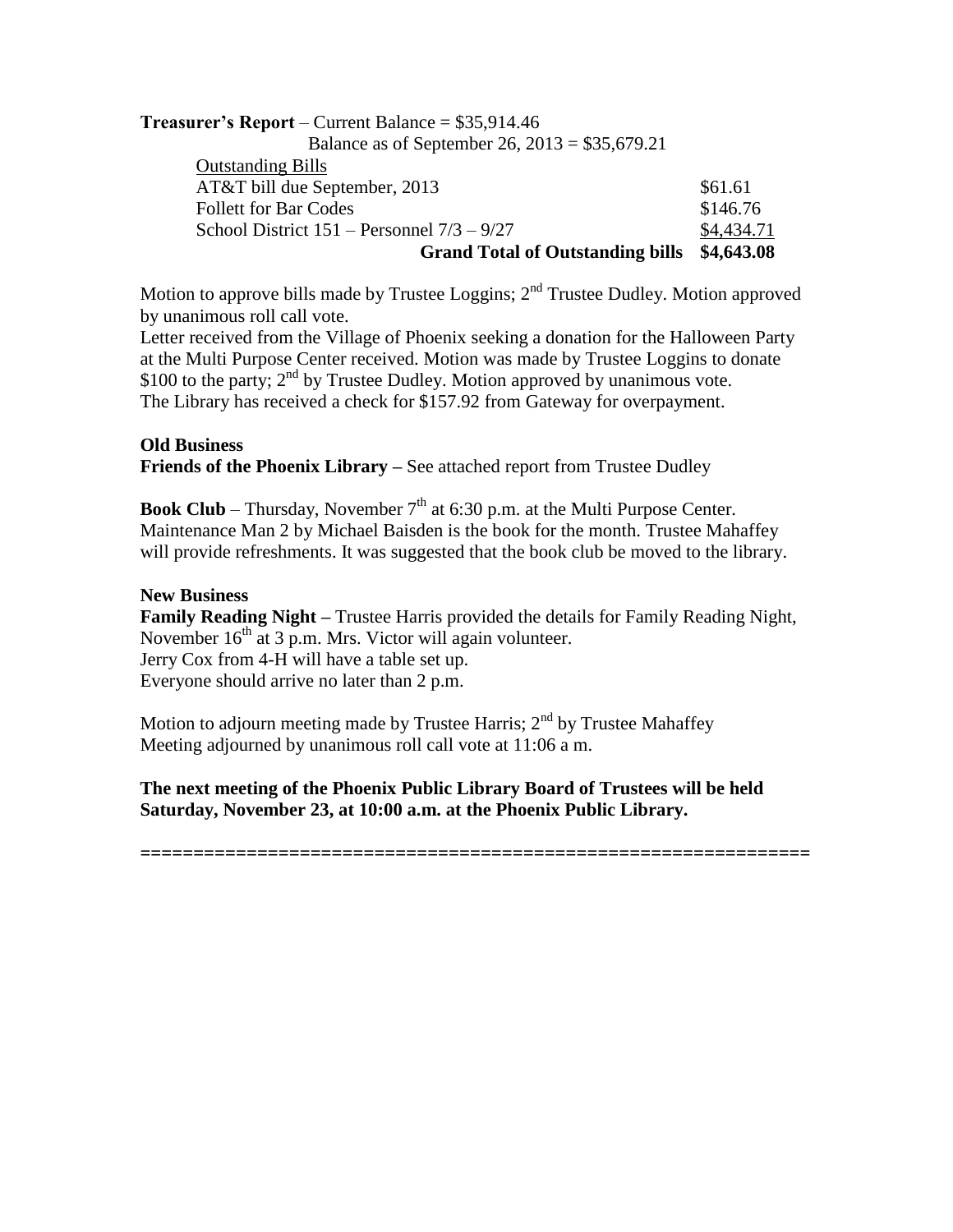| <b>Treasurer's Report</b> – Current Balance = $$35,914.46$ |            |
|------------------------------------------------------------|------------|
| Balance as of September 26, $2013 = $35,679.21$            |            |
| <b>Outstanding Bills</b>                                   |            |
| AT&T bill due September, 2013                              | \$61.61    |
| <b>Follett for Bar Codes</b>                               | \$146.76   |
| School District $151$ – Personnel $7/3$ – $9/27$           | \$4,434.71 |
| <b>Grand Total of Outstanding bills</b>                    | \$4,643.08 |

Motion to approve bills made by Trustee Loggins; 2<sup>nd</sup> Trustee Dudley. Motion approved by unanimous roll call vote.

Letter received from the Village of Phoenix seeking a donation for the Halloween Party at the Multi Purpose Center received. Motion was made by Trustee Loggins to donate \$100 to the party;  $2<sup>nd</sup>$  by Trustee Dudley. Motion approved by unanimous vote. The Library has received a check for \$157.92 from Gateway for overpayment.

#### **Old Business**

**Friends of the Phoenix Library –** See attached report from Trustee Dudley

**Book Club** – Thursday, November  $7<sup>th</sup>$  at 6:30 p.m. at the Multi Purpose Center. Maintenance Man 2 by Michael Baisden is the book for the month. Trustee Mahaffey will provide refreshments. It was suggested that the book club be moved to the library.

# **New Business**

**Family Reading Night –** Trustee Harris provided the details for Family Reading Night, November  $16<sup>th</sup>$  at 3 p.m. Mrs. Victor will again volunteer. Jerry Cox from 4-H will have a table set up. Everyone should arrive no later than 2 p.m.

Motion to adjourn meeting made by Trustee Harris;  $2<sup>nd</sup>$  by Trustee Mahaffey Meeting adjourned by unanimous roll call vote at 11:06 a m.

**The next meeting of the Phoenix Public Library Board of Trustees will be held Saturday, November 23, at 10:00 a.m. at the Phoenix Public Library.**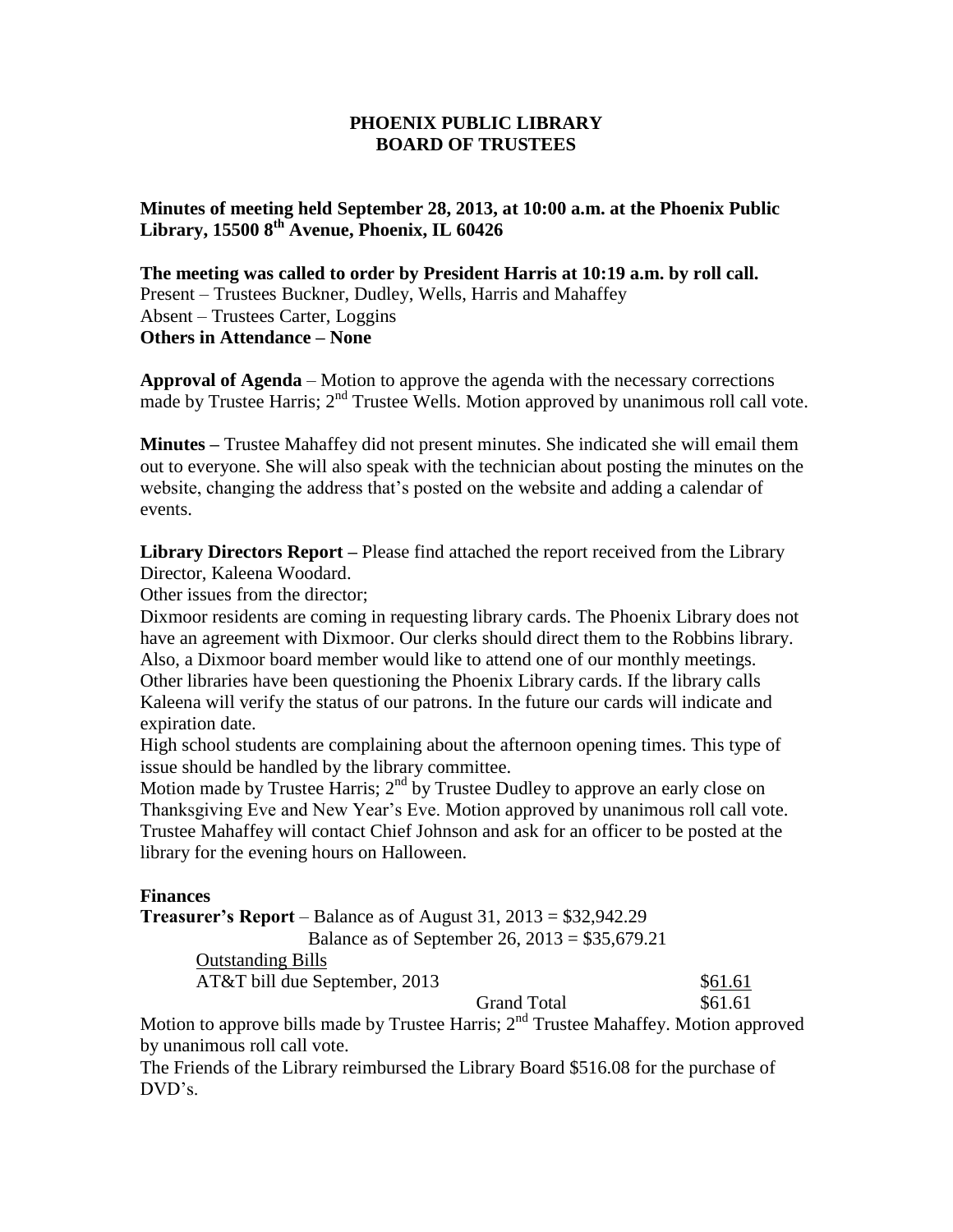**Minutes of meeting held September 28, 2013, at 10:00 a.m. at the Phoenix Public Library, 15500 8th Avenue, Phoenix, IL 60426**

**The meeting was called to order by President Harris at 10:19 a.m. by roll call.** Present – Trustees Buckner, Dudley, Wells, Harris and Mahaffey Absent – Trustees Carter, Loggins **Others in Attendance – None**

**Approval of Agenda** – Motion to approve the agenda with the necessary corrections made by Trustee Harris;  $2<sup>nd</sup>$  Trustee Wells. Motion approved by unanimous roll call vote.

**Minutes –** Trustee Mahaffey did not present minutes. She indicated she will email them out to everyone. She will also speak with the technician about posting the minutes on the website, changing the address that's posted on the website and adding a calendar of events.

**Library Directors Report –** Please find attached the report received from the Library Director, Kaleena Woodard.

Other issues from the director;

Dixmoor residents are coming in requesting library cards. The Phoenix Library does not have an agreement with Dixmoor. Our clerks should direct them to the Robbins library. Also, a Dixmoor board member would like to attend one of our monthly meetings. Other libraries have been questioning the Phoenix Library cards. If the library calls Kaleena will verify the status of our patrons. In the future our cards will indicate and expiration date.

High school students are complaining about the afternoon opening times. This type of issue should be handled by the library committee.

Motion made by Trustee Harris;  $2<sup>nd</sup>$  by Trustee Dudley to approve an early close on Thanksgiving Eve and New Year's Eve. Motion approved by unanimous roll call vote. Trustee Mahaffey will contact Chief Johnson and ask for an officer to be posted at the library for the evening hours on Halloween.

#### **Finances**

**Treasurer's Report** – Balance as of August 31, 2013 = \$32,942.29

Balance as of September 26, 2013 = \$35,679.21

Outstanding Bills

AT&T bill due September, 2013 \$61.61

Grand Total \$61.61

Motion to approve bills made by Trustee Harris;  $2<sup>nd</sup>$  Trustee Mahaffey. Motion approved by unanimous roll call vote.

The Friends of the Library reimbursed the Library Board \$516.08 for the purchase of DVD's.